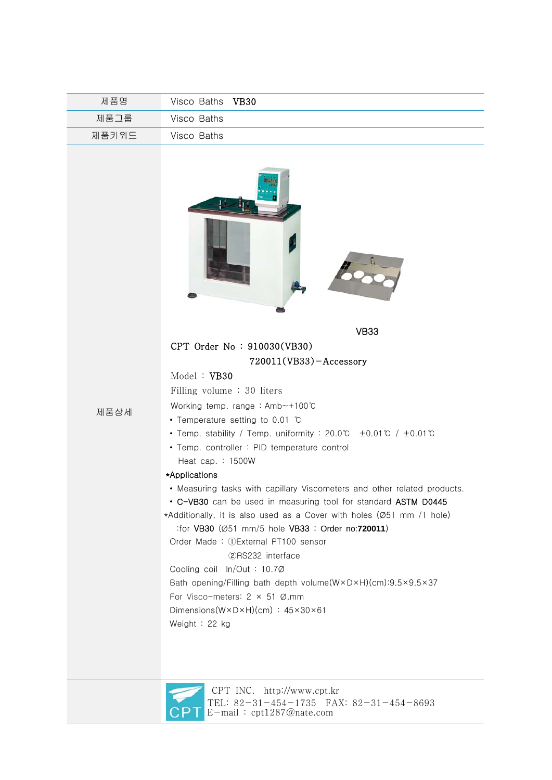| 제품명   | Visco Baths VB30 |
|-------|------------------|
| 제품그룹  | Visco Baths      |
| 제품키워드 | Visco Baths      |





 CPT INC. http://www.cpt.kr TEL: 82-31-454-1735 FAX: 82-31-454-8693 E-mail : cpt1287@nate.com